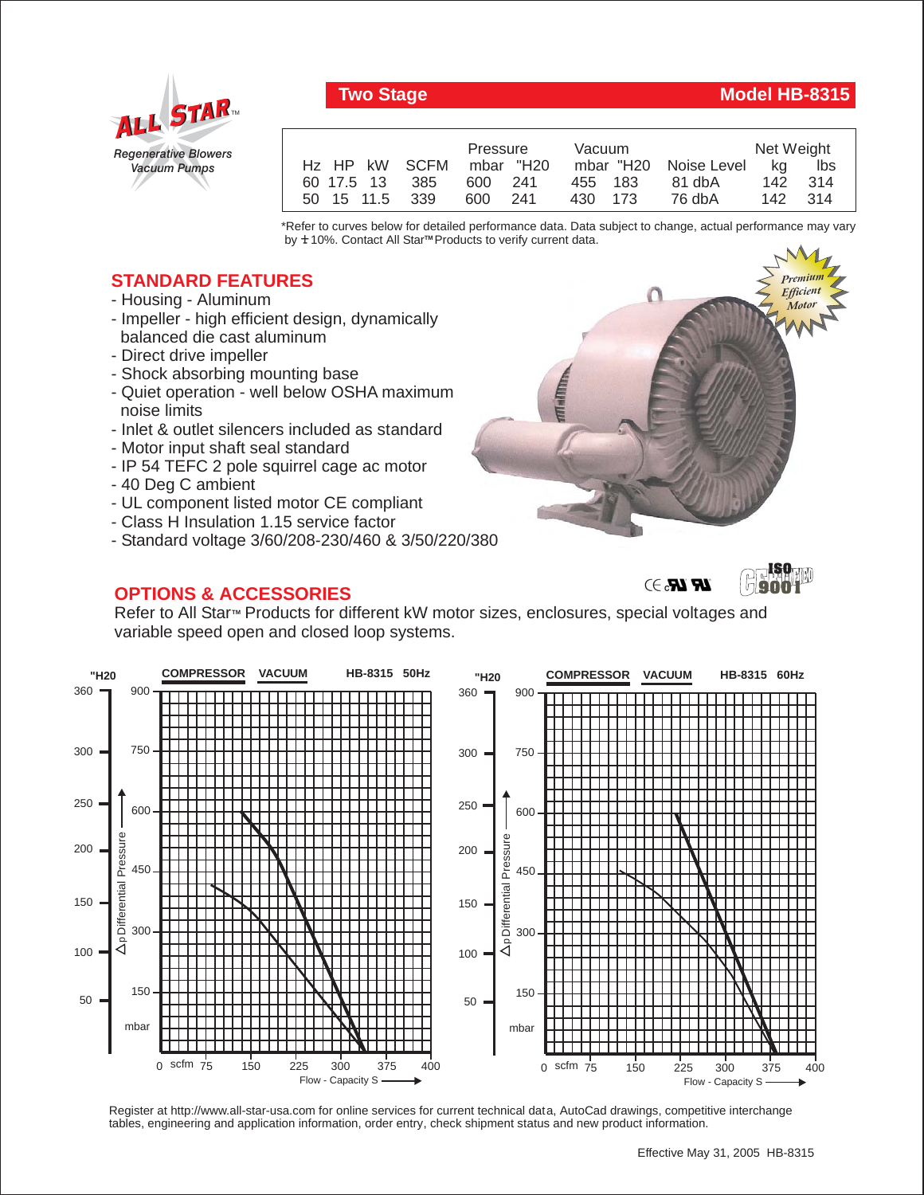

## **Two Stage Model HB-8315**

|                         | Pressure |  | Vacuum  |  |                       | Net Weight |     |
|-------------------------|----------|--|---------|--|-----------------------|------------|-----|
| Hz HP kW SCFM mbar "H20 |          |  |         |  | mbar "H20 Noise Level | - ka       | lbs |
| 60 17.5 13 385          | 600 241  |  | 455 183 |  | 81 dbA                | 142 314    |     |
| 50 15 11.5 339          | 600 241  |  | 430 173 |  | 76 dbA                | 142 314    |     |

\*Refer to curves below for detailed performance data. Data subject to change, actual performance may vary by **+** 10%. Contact All Star™ Products to verify current data.

## **STANDARD FEATURES**

- Housing Aluminum
- Impeller high efficient design, dynamically balanced die cast aluminum
- Direct drive impeller
- Shock absorbing mounting base
- Quiet operation well below OSHA maximum noise limits
- Inlet & outlet silencers included as standard
- Motor input shaft seal standard
- IP 54 TEFC 2 pole squirrel cage ac motor
- 40 Deg C ambient
- UL component listed motor CE compliant
- Class H Insulation 1.15 service factor
- Standard voltage 3/60/208-230/460 & 3/50/220/380

## **OPTIONS & ACCESSORIES**







Refer to All Star<sup>™</sup> Products for different kW motor sizes, enclosures, special voltages and variable speed open and closed loop systems.



Register at http://www.all-star-usa.com for online services for current technical data, AutoCad drawings, competitive interchange tables, engineering and application information, order entry, check shipment status and new product information.